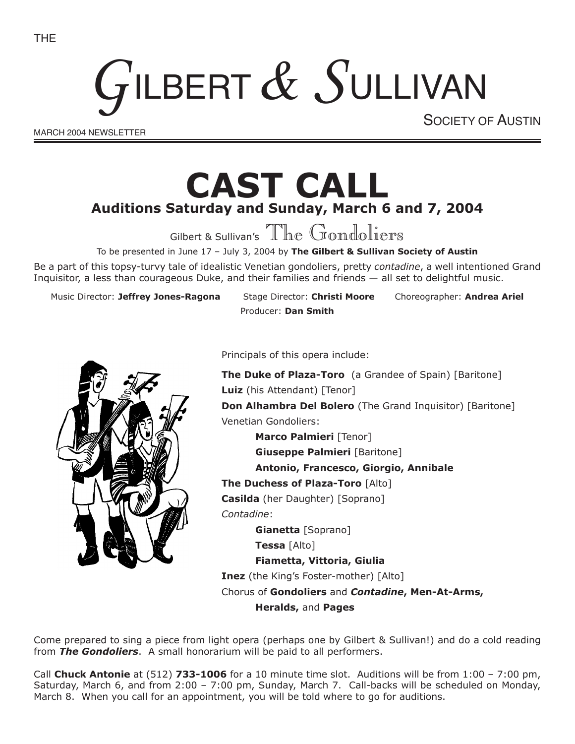# GILBERT & SULLIVAN

MARCH 2004 NEWSLETTER

SOCIETY OF AUSTIN

## **CAST CALL Auditions Saturday and Sunday, March 6 and 7, 2004**

Gilbert & Sullivan's The Gondoliers

To be presented in June 17 – July 3, 2004 by **The Gilbert & Sullivan Society of Austin**

Be a part of this topsy-turvy tale of idealistic Venetian gondoliers, pretty *contadine*, a well intentioned Grand Inquisitor, a less than courageous Duke, and their families and friends — all set to delightful music.

Music Director: **Jeffrey Jones-Ragona** Stage Director: **Christi Moore** Choreographer: **Andrea Ariel**

Producer: **Dan Smith**



Principals of this opera include:

**The Duke of Plaza-Toro** (a Grandee of Spain) [Baritone] **Luiz** (his Attendant) [Tenor] **Don Alhambra Del Bolero** (The Grand Inquisitor) [Baritone] Venetian Gondoliers:

**Marco Palmieri** [Tenor] **Giuseppe Palmieri** [Baritone] **Antonio, Francesco, Giorgio, Annibale The Duchess of Plaza-Toro** [Alto] **Casilda** (her Daughter) [Soprano] *Contadine*: **Gianetta** [Soprano] **Tessa** [Alto] **Fiametta, Vittoria, Giulia Inez** (the King's Foster-mother) [Alto] Chorus of **Gondoliers** and *Contadine***, Men-At-Arms,** 

**Heralds,** and **Pages**

Come prepared to sing a piece from light opera (perhaps one by Gilbert & Sullivan!) and do a cold reading from *The Gondoliers*. A small honorarium will be paid to all performers.

Call **Chuck Antonie** at (512) **733-1006** for a 10 minute time slot. Auditions will be from 1:00 – 7:00 pm, Saturday, March 6, and from 2:00 – 7:00 pm, Sunday, March 7. Call-backs will be scheduled on Monday, March 8. When you call for an appointment, you will be told where to go for auditions.